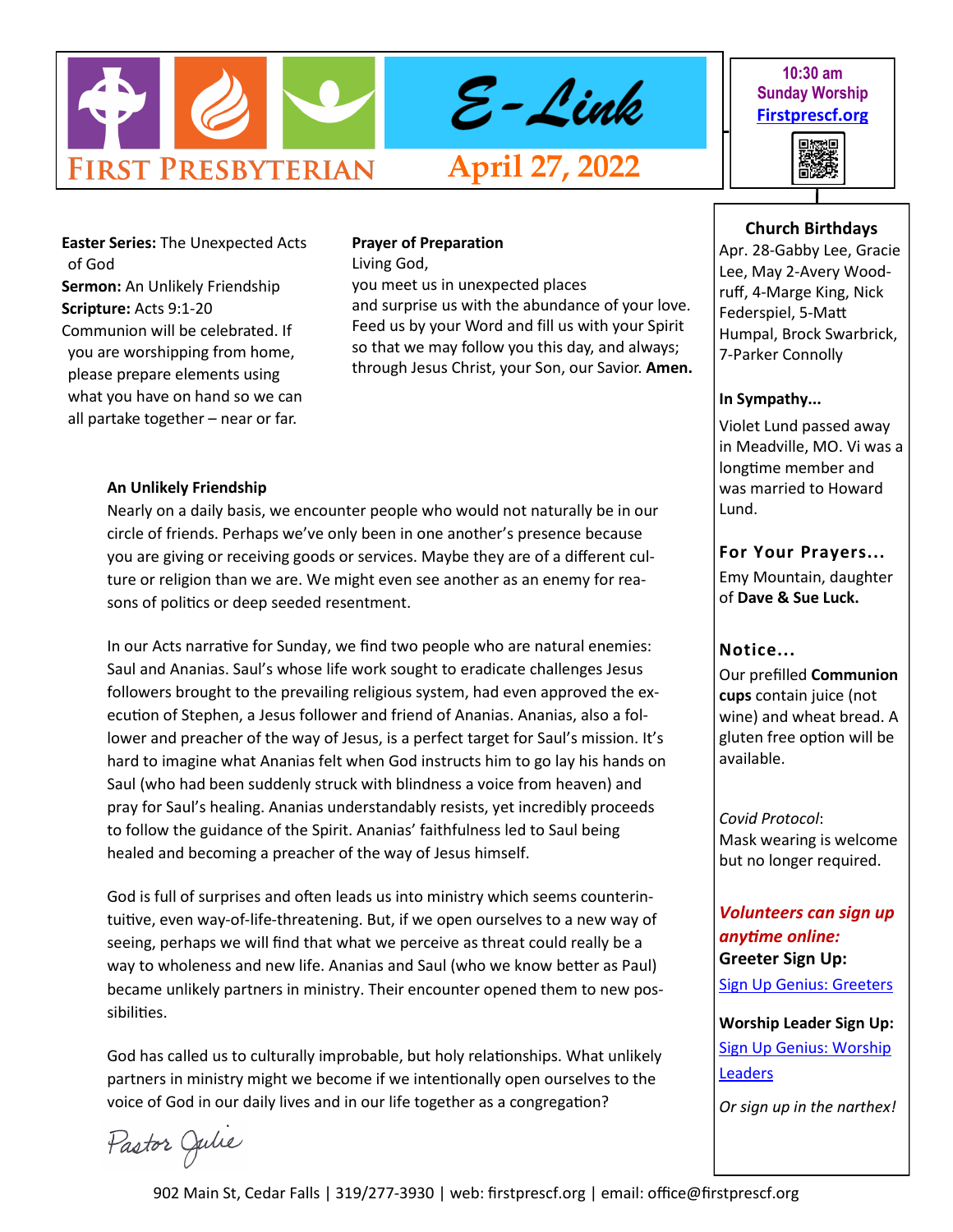

#### **10:30 am Sunday Worship [Firstprescf.org](http://www.firstprescf.org)**

興趣県

**Easter Series:** The Unexpected Acts of God **Sermon:** An Unlikely Friendship **Scripture:** Acts 9:1-20 Communion will be celebrated. If you are worshipping from home, please prepare elements using what you have on hand so we can all partake together – near or far.

## **Prayer of Preparation**

Living God,

you meet us in unexpected places and surprise us with the abundance of your love. Feed us by your Word and fill us with your Spirit so that we may follow you this day, and always; through Jesus Christ, your Son, our Savior. **Amen.**

#### **An Unlikely Friendship**

Nearly on a daily basis, we encounter people who would not naturally be in our circle of friends. Perhaps we've only been in one another's presence because you are giving or receiving goods or services. Maybe they are of a different culture or religion than we are. We might even see another as an enemy for reasons of politics or deep seeded resentment.

In our Acts narrative for Sunday, we find two people who are natural enemies: Saul and Ananias. Saul's whose life work sought to eradicate challenges Jesus followers brought to the prevailing religious system, had even approved the execution of Stephen, a Jesus follower and friend of Ananias. Ananias, also a follower and preacher of the way of Jesus, is a perfect target for Saul's mission. It's hard to imagine what Ananias felt when God instructs him to go lay his hands on Saul (who had been suddenly struck with blindness a voice from heaven) and pray for Saul's healing. Ananias understandably resists, yet incredibly proceeds to follow the guidance of the Spirit. Ananias' faithfulness led to Saul being healed and becoming a preacher of the way of Jesus himself.

God is full of surprises and often leads us into ministry which seems counterintuitive, even way-of-life-threatening. But, if we open ourselves to a new way of seeing, perhaps we will find that what we perceive as threat could really be a way to wholeness and new life. Ananias and Saul (who we know better as Paul) became unlikely partners in ministry. Their encounter opened them to new possibilities.

God has called us to culturally improbable, but holy relationships. What unlikely partners in ministry might we become if we intentionally open ourselves to the voice of God in our daily lives and in our life together as a congregation?

# Pastor Julie

### 902 Main St, Cedar Falls | 319/277-3930 | web: firstprescf.org | email: office@firstprescf.org

#### **Church Birthdays**

Apr. 28-Gabby Lee, Gracie Lee, May 2-Avery Woodruff, 4-Marge King, Nick Federspiel, 5-Matt Humpal, Brock Swarbrick, 7-Parker Connolly

#### **In Sympathy...**

Violet Lund passed away in Meadville, MO. Vi was a longtime member and was married to Howard Lund.

#### **For Your Prayers...**

Emy Mountain, daughter of **Dave & Sue Luck.**

#### **Notice...**

Our prefilled **Communion cups** contain juice (not wine) and wheat bread. A gluten free option will be available.

*Covid Protocol*: Mask wearing is welcome but no longer required.

#### *Volunteers can sign up anytime online:* **Greeter Sign Up:**

[Sign Up Genius: Greeters](https://www.signupgenius.com/go/10C0D4BA9A728ABF4CF8-shepherds1)

**Worship Leader Sign Up:** [Sign Up Genius: Worship](https://www.signupgenius.com/go/10C0D4BA9A728ABF4CF8-worship)  **[Leaders](https://www.signupgenius.com/go/10C0D4BA9A728ABF4CF8-worship)** 

*Or sign up in the narthex!*